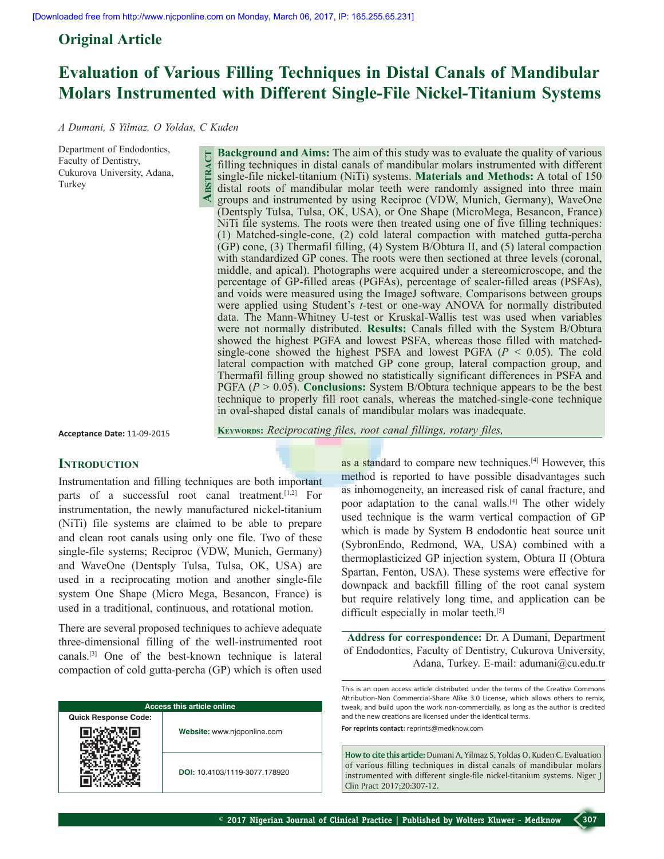**Abstract**

## **Original Article**

# **Evaluation of Various Filling Techniques in Distal Canals of Mandibular Molars Instrumented with Different Single-File Nickel-Titanium Systems**

*A Dumani, S Yilmaz, O Yoldas, C Kuden*

Department of Endodontics, Faculty of Dentistry, Cukurova University, Adana, Turkey

**Background and Aims:** The aim of this study was to evaluate the quality of various filling techniques in distal canals of mandibular molars instrumented with different single-file nickel-titanium (NiTi) systems. **Materials and Methods:** A total of 150 distal roots of mandibular molar teeth were randomly assigned into three main groups and instrumented by using Reciproc (VDW, Munich, Germany), WaveOne (Dentsply Tulsa, Tulsa, OK, USA), or One Shape (MicroMega, Besancon, France) NiTi file systems. The roots were then treated using one of five filling techniques: (1) Matched-single-cone, (2) cold lateral compaction with matched gutta-percha (GP) cone, (3) Thermafil filling, (4) System B/Obtura II, and (5) lateral compaction with standardized GP cones. The roots were then sectioned at three levels (coronal, middle, and apical). Photographs were acquired under a stereomicroscope, and the percentage of GP-filled areas (PGFAs), percentage of sealer-filled areas (PSFAs), and voids were measured using the ImageJ software. Comparisons between groups were applied using Student's *t*-test or one-way ANOVA for normally distributed data. The Mann-Whitney U-test or Kruskal-Wallis test was used when variables were not normally distributed. **Results:** Canals filled with the System B/Obtura showed the highest PGFA and lowest PSFA, whereas those filled with matchedsingle-cone showed the highest PSFA and lowest PGFA (*P* < 0.05). The cold lateral compaction with matched GP cone group, lateral compaction group, and Thermafil filling group showed no statistically significant differences in PSFA and PGFA (*P* > 0.05). **Conclusions:** System B/Obtura technique appears to be the best technique to properly fill root canals, whereas the matched-single-cone technique in oval-shaped distal canals of mandibular molars was inadequate.

**Acceptance Date:** 11-09-2015

**Keywords:** *Reciprocating files, root canal fillings, rotary files,* 

## **INTRODUCTION**

Instrumentation and filling techniques are both important parts of a successful root canal treatment.<sup>[1,2]</sup> For instrumentation, the newly manufactured nickel-titanium (NiTi) file systems are claimed to be able to prepare and clean root canals using only one file. Two of these single-file systems; Reciproc (VDW, Munich, Germany) and WaveOne (Dentsply Tulsa, Tulsa, OK, USA) are used in a reciprocating motion and another single-file system One Shape (Micro Mega, Besancon, France) is used in a traditional, continuous, and rotational motion.

There are several proposed techniques to achieve adequate three-dimensional filling of the well-instrumented root canals.[3] One of the best-known technique is lateral compaction of cold gutta-percha (GP) which is often used

| <b>Access this article online</b> |                               |  |  |  |  |
|-----------------------------------|-------------------------------|--|--|--|--|
| <b>Quick Response Code:</b>       | Website: www.njcponline.com   |  |  |  |  |
|                                   |                               |  |  |  |  |
|                                   | DOI: 10.4103/1119-3077.178920 |  |  |  |  |

as a standard to compare new techniques.[4] However, this method is reported to have possible disadvantages such as inhomogeneity, an increased risk of canal fracture, and poor adaptation to the canal walls.[4] The other widely used technique is the warm vertical compaction of GP which is made by System B endodontic heat source unit (SybronEndo, Redmond, WA, USA) combined with a thermoplasticized GP injection system, Obtura II (Obtura Spartan, Fenton, USA). These systems were effective for downpack and backfill filling of the root canal system but require relatively long time, and application can be difficult especially in molar teeth.<sup>[5]</sup>

**Address for correspondence:** Dr. A Dumani, Department of Endodontics, Faculty of Dentistry, Cukurova University, Adana, Turkey. E-mail: adumani@cu.edu.tr

This is an open access article distributed under the terms of the Creative Commons Attribution-Non Commercial-Share Alike 3.0 License, which allows others to remix, tweak, and build upon the work non-commercially, as long as the author is credited and the new creations are licensed under the identical terms.

**For reprints contact:** reprints@medknow.com

**How to cite this article:** Dumani A, Yilmaz S, Yoldas O, Kuden C. Evaluation of various filling techniques in distal canals of mandibular molars instrumented with different single-file nickel-titanium systems. Niger J Clin Pract 2017;20:307-12.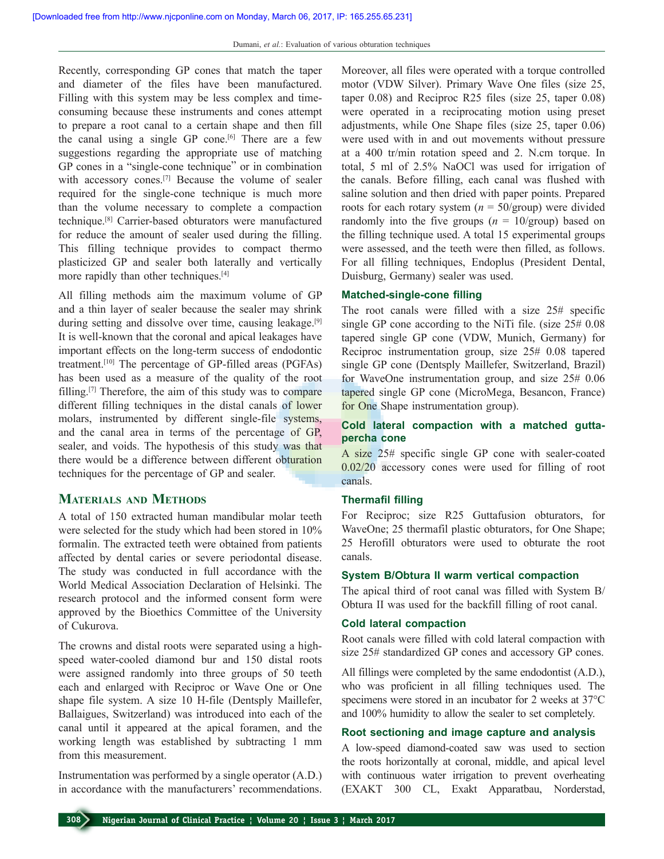Recently, corresponding GP cones that match the taper and diameter of the files have been manufactured. Filling with this system may be less complex and timeconsuming because these instruments and cones attempt to prepare a root canal to a certain shape and then fill the canal using a single GP cone.<sup>[6]</sup> There are a few suggestions regarding the appropriate use of matching GP cones in a "single-cone technique" or in combination with accessory cones.[7] Because the volume of sealer required for the single-cone technique is much more than the volume necessary to complete a compaction technique.[8] Carrier-based obturators were manufactured for reduce the amount of sealer used during the filling. This filling technique provides to compact thermo plasticized GP and sealer both laterally and vertically more rapidly than other techniques.[4]

All filling methods aim the maximum volume of GP and a thin layer of sealer because the sealer may shrink during setting and dissolve over time, causing leakage.<sup>[9]</sup> It is well-known that the coronal and apical leakages have important effects on the long-term success of endodontic treatment.[10] The percentage of GP-filled areas (PGFAs) has been used as a measure of the quality of the root filling.[7] Therefore, the aim of this study was to compare different filling techniques in the distal canals of lower molars, instrumented by different single-file systems, and the canal area in terms of the percentage of GP, sealer, and voids. The hypothesis of this study was that there would be a difference between different obturation techniques for the percentage of GP and sealer.

## **Materials and Methods**

A total of 150 extracted human mandibular molar teeth were selected for the study which had been stored in 10% formalin. The extracted teeth were obtained from patients affected by dental caries or severe periodontal disease. The study was conducted in full accordance with the World Medical Association Declaration of Helsinki. The research protocol and the informed consent form were approved by the Bioethics Committee of the University of Cukurova.

The crowns and distal roots were separated using a highspeed water-cooled diamond bur and 150 distal roots were assigned randomly into three groups of 50 teeth each and enlarged with Reciproc or Wave One or One shape file system. A size 10 H-file (Dentsply Maillefer, Ballaigues, Switzerland) was introduced into each of the canal until it appeared at the apical foramen, and the working length was established by subtracting 1 mm from this measurement.

Instrumentation was performed by a single operator (A.D.) in accordance with the manufacturers' recommendations. Moreover, all files were operated with a torque controlled motor (VDW Silver). Primary Wave One files (size 25, taper 0.08) and Reciproc R25 files (size 25, taper 0.08) were operated in a reciprocating motion using preset adjustments, while One Shape files (size 25, taper 0.06) were used with in and out movements without pressure at a 400 tr/min rotation speed and 2. N.cm torque. In total, 5 ml of 2.5% NaOCl was used for irrigation of the canals. Before filling, each canal was flushed with saline solution and then dried with paper points. Prepared roots for each rotary system  $(n = 50/\text{group})$  were divided randomly into the five groups  $(n = 10/\text{group})$  based on the filling technique used. A total 15 experimental groups were assessed, and the teeth were then filled, as follows. For all filling techniques, Endoplus (President Dental, Duisburg, Germany) sealer was used.

## **Matched-single-cone filling**

The root canals were filled with a size 25# specific single GP cone according to the NiTi file. (size 25# 0.08 tapered single GP cone (VDW, Munich, Germany) for Reciproc instrumentation group, size 25# 0.08 tapered single GP cone (Dentsply Maillefer, Switzerland, Brazil) for WaveOne instrumentation group, and size 25# 0.06 tapered single GP cone (MicroMega, Besancon, France) for One Shape instrumentation group).

## **Cold lateral compaction with a matched guttapercha cone**

A size 25# specific single GP cone with sealer-coated 0.02/20 accessory cones were used for filling of root canals.

## **Thermafil filling**

For Reciproc; size R25 Guttafusion obturators, for WaveOne; 25 thermafil plastic obturators, for One Shape; 25 Herofill obturators were used to obturate the root canals.

#### **System B/Obtura II warm vertical compaction**

The apical third of root canal was filled with System B/ Obtura II was used for the backfill filling of root canal.

#### **Cold lateral compaction**

Root canals were filled with cold lateral compaction with size 25# standardized GP cones and accessory GP cones.

All fillings were completed by the same endodontist (A.D.), who was proficient in all filling techniques used. The specimens were stored in an incubator for 2 weeks at 37°C and 100% humidity to allow the sealer to set completely.

#### **Root sectioning and image capture and analysis**

A low-speed diamond-coated saw was used to section the roots horizontally at coronal, middle, and apical level with continuous water irrigation to prevent overheating (EXAKT 300 CL, Exakt Apparatbau, Norderstad,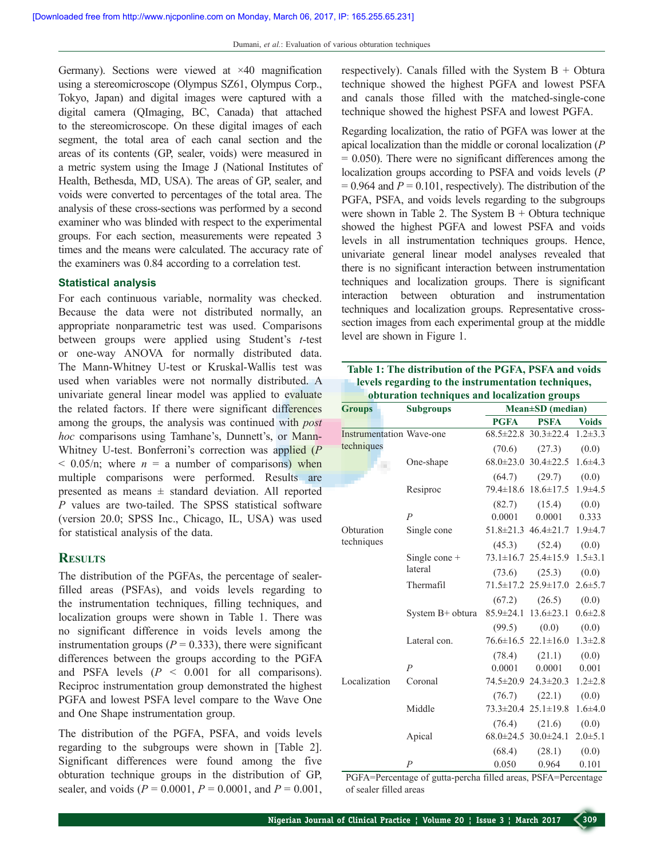Germany). Sections were viewed at ×40 magnification using a stereomicroscope (Olympus SZ61, Olympus Corp., Tokyo, Japan) and digital images were captured with a digital camera (QImaging, BC, Canada) that attached to the stereomicroscope. On these digital images of each segment, the total area of each canal section and the areas of its contents (GP, sealer, voids) were measured in a metric system using the Image J (National Institutes of Health, Bethesda, MD, USA). The areas of GP, sealer, and voids were converted to percentages of the total area. The analysis of these cross-sections was performed by a second examiner who was blinded with respect to the experimental groups. For each section, measurements were repeated 3 times and the means were calculated. The accuracy rate of the examiners was 0.84 according to a correlation test.

#### **Statistical analysis**

For each continuous variable, normality was checked. Because the data were not distributed normally, an appropriate nonparametric test was used. Comparisons between groups were applied using Student's *t*-test or one-way ANOVA for normally distributed data. The Mann-Whitney U-test or Kruskal-Wallis test was used when variables were not normally distributed. A univariate general linear model was applied to evaluate the related factors. If there were significant differences among the groups, the analysis was continued with *post hoc* comparisons using Tamhane's, Dunnett's, or Mann-Whitney U-test. Bonferroni's correction was applied (*P*  $<$  0.05/n; where  $n = a$  number of comparisons) when multiple comparisons were performed. Results are presented as means  $\pm$  standard deviation. All reported *P* values are two-tailed. The SPSS statistical software (version 20.0; SPSS Inc., Chicago, IL, USA) was used for statistical analysis of the data.

## **Results**

The distribution of the PGFAs, the percentage of sealerfilled areas (PSFAs), and voids levels regarding to the instrumentation techniques, filling techniques, and localization groups were shown in Table 1. There was no significant difference in voids levels among the instrumentation groups  $(P = 0.333)$ , there were significant differences between the groups according to the PGFA and PSFA levels  $(P \le 0.001$  for all comparisons). Reciproc instrumentation group demonstrated the highest PGFA and lowest PSFA level compare to the Wave One and One Shape instrumentation group.

The distribution of the PGFA, PSFA, and voids levels regarding to the subgroups were shown in [Table 2]. Significant differences were found among the five obturation technique groups in the distribution of GP, sealer, and voids ( $P = 0.0001$ ,  $P = 0.0001$ , and  $P = 0.001$ , respectively). Canals filled with the System  $B + Obtura$ technique showed the highest PGFA and lowest PSFA and canals those filled with the matched-single-cone technique showed the highest PSFA and lowest PGFA.

Regarding localization, the ratio of PGFA was lower at the apical localization than the middle or coronal localization (*P*  $= 0.050$ ). There were no significant differences among the localization groups according to PSFA and voids levels (*P*  $= 0.964$  and  $P = 0.101$ , respectively). The distribution of the PGFA, PSFA, and voids levels regarding to the subgroups were shown in Table 2. The System  $B +$ Obtura technique showed the highest PGFA and lowest PSFA and voids levels in all instrumentation techniques groups. Hence, univariate general linear model analyses revealed that there is no significant interaction between instrumentation techniques and localization groups. There is significant interaction between obturation and instrumentation techniques and localization groups. Representative crosssection images from each experimental group at the middle level are shown in Figure 1.

| Table 1: The distribution of the PGFA, PSFA and voids |
|-------------------------------------------------------|
| levels regarding to the instrumentation techniques,   |
| obturation techniques and localization groups         |

| <b>Groups</b>                   | <b>Subgroups</b> | Mean±SD (median) |                                               |               |  |
|---------------------------------|------------------|------------------|-----------------------------------------------|---------------|--|
|                                 |                  | <b>PGFA</b>      | <b>PSFA</b>                                   | <b>Voids</b>  |  |
| <b>Instrumentation Wave-one</b> |                  |                  | $68.5 \pm 22.8$ $30.3 \pm 22.4$ $1.2 \pm 3.3$ |               |  |
| techniques                      |                  | (70.6)           | (27.3)                                        | (0.0)         |  |
|                                 | One-shape        |                  | $68.0\pm23.0$ 30.4 $\pm22.5$                  | $1.6 + 4.3$   |  |
|                                 |                  | (64.7)           | (29.7)                                        | (0.0)         |  |
|                                 | Resiproc         |                  | $79.4 \pm 18.6$ $18.6 \pm 17.5$               | $1.9 + 4.5$   |  |
|                                 |                  | (82.7)           | (15.4)                                        | (0.0)         |  |
| Obturation<br>techniques        | $\overline{P}$   | 0.0001           | 0.0001                                        | 0.333         |  |
|                                 | Single cone      |                  | $51.8 \pm 21.3$ $46.4 \pm 21.7$               | $1.9 + 4.7$   |  |
|                                 |                  | (45.3)           | (52.4)                                        | (0.0)         |  |
|                                 | Single cone $+$  |                  | $73.1 \pm 16.7$ $25.4 \pm 15.9$               | $1.5 \pm 3.1$ |  |
|                                 | lateral          |                  | $(73.6)$ $(25.3)$                             | (0.0)         |  |
|                                 | Thermafil        |                  | $71.5 \pm 17.2$ $25.9 \pm 17.0$               | $2.6 \pm 5.7$ |  |
|                                 |                  | (67.2)           | (26.5)                                        | (0.0)         |  |
|                                 | System B+ obtura |                  | $85.9 \pm 24.1$ $13.6 \pm 23.1$               | $0.6 \pm 2.8$ |  |
| Localization                    |                  | (99.5)           | (0.0)                                         | (0.0)         |  |
|                                 | Lateral con.     |                  | $76.6 \pm 16.5$ 22.1 $\pm 16.0$               | $1.3 \pm 2.8$ |  |
|                                 |                  | (78.4)           | $(21.1)$ $(0.0)$                              |               |  |
|                                 | $\overline{P}$   | 0.0001           | 0.0001                                        | 0.001         |  |
|                                 | Coronal          |                  | $74.5 \pm 20.9$ 24.3 $\pm 20.3$               | $1.2 \pm 2.8$ |  |
|                                 |                  | (76.7)           | (22.1)                                        | (0.0)         |  |
|                                 | Middle           |                  | $73.3 \pm 20.4$ 25.1 $\pm$ 19.8               | $1.6 + 4.0$   |  |
|                                 |                  | (76.4)           | (21.6)                                        | (0.0)         |  |
|                                 | Apical           |                  | $68.0\pm24.5$ 30.0 $\pm24.1$                  | $2.0 + 5.1$   |  |
|                                 |                  | (68.4)           | (28.1)                                        | (0.0)         |  |
|                                 | $\overline{P}$   | 0.050            | 0.964                                         | 0.101         |  |

PGFA=Percentage of gutta-percha filled areas, PSFA=Percentage of sealer filled areas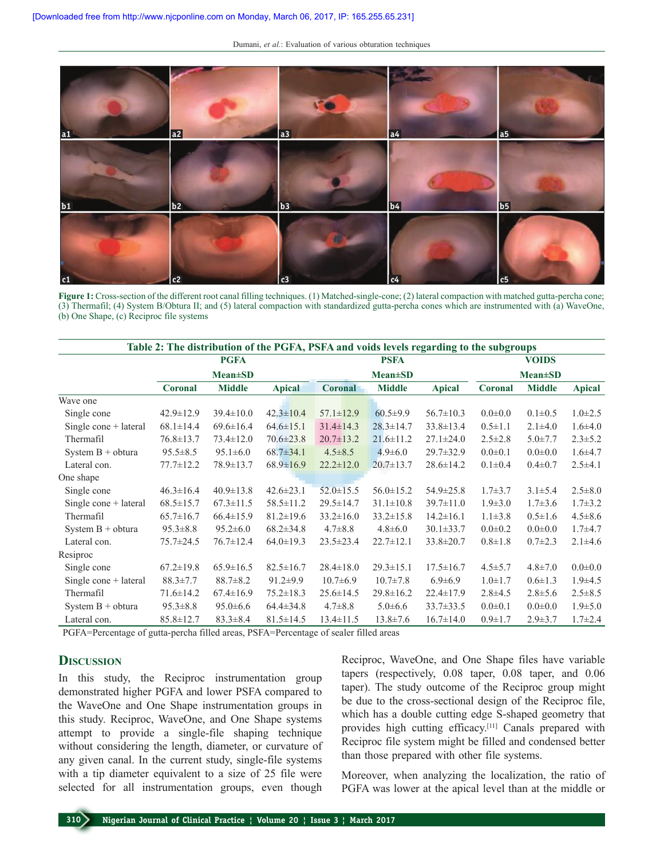Dumani, *et al.*: Evaluation of various obturation techniques



**Figure 1:** Cross-section of the different root canal filling techniques. (1) Matched-single-cone; (2) lateral compaction with matched gutta-percha cone; (3) Thermafil; (4) System B/Obtura II; and (5) lateral compaction with standardized gutta-percha cones which are instrumented with (a) WaveOne, (b) One Shape, (c) Reciproc file systems

| Table 2: The distribution of the PGFA, PSFA and voids levels regarding to the subgroups |                 |                 |                 |                 |                 |                 |                 |               |               |
|-----------------------------------------------------------------------------------------|-----------------|-----------------|-----------------|-----------------|-----------------|-----------------|-----------------|---------------|---------------|
|                                                                                         |                 | <b>PGFA</b>     |                 |                 | <b>PSFA</b>     |                 |                 | <b>VOIDS</b>  |               |
|                                                                                         | $Mean \pm SD$   |                 |                 | <b>Mean</b> ±SD |                 |                 | <b>Mean</b> ±SD |               |               |
|                                                                                         | <b>Coronal</b>  | <b>Middle</b>   | <b>Apical</b>   | <b>Coronal</b>  | <b>Middle</b>   | <b>Apical</b>   | Coronal         | <b>Middle</b> | <b>Apical</b> |
| Wave one                                                                                |                 |                 |                 |                 |                 |                 |                 |               |               |
| Single cone                                                                             | $42.9 \pm 12.9$ | $39.4 \pm 10.0$ | $42.3 \pm 10.4$ | $57.1 \pm 12.9$ | $60.5 \pm 9.9$  | $56.7 \pm 10.3$ | $0.0 \pm 0.0$   | $0.1 \pm 0.5$ | $1.0 \pm 2.5$ |
| Single cone $+$ lateral                                                                 | $68.1 \pm 14.4$ | $69.6 \pm 16.4$ | $64.6 \pm 15.1$ | $31.4 \pm 14.3$ | $28.3 \pm 14.7$ | $33.8 \pm 13.4$ | $0.5 \pm 1.1$   | $2.1 \pm 4.0$ | $1.6{\pm}4.0$ |
| Thermafil                                                                               | $76.8 \pm 13.7$ | $73.4 \pm 12.0$ | $70.6 \pm 23.8$ | $20.7 \pm 13.2$ | $21.6 \pm 11.2$ | $27.1 \pm 24.0$ | $2.5 \pm 2.8$   | $5.0 \pm 7.7$ | $2.3 \pm 5.2$ |
| System $B + obtura$                                                                     | $95.5 \pm 8.5$  | $95.1 \pm 6.0$  | $68.7 \pm 34.1$ | $4.5 \pm 8.5$   | $4.9 \pm 6.0$   | $29.7 \pm 32.9$ | $0.0 \pm 0.1$   | $0.0 + 0.0$   | $1.6{\pm}4.7$ |
| Lateral con.                                                                            | $77.7 \pm 12.2$ | 78.9±13.7       | $68.9 \pm 16.9$ | $22.2 \pm 12.0$ | $20.7 \pm 13.7$ | $28.6 \pm 14.2$ | $0.1 \pm 0.4$   | $0.4 \pm 0.7$ | $2.5 + 4.1$   |
| One shape                                                                               |                 |                 |                 |                 |                 |                 |                 |               |               |
| Single cone                                                                             | $46.3 \pm 16.4$ | $40.9 \pm 13.8$ | $42.6 \pm 23.1$ | $52.0 \pm 15.5$ | $56.0 \pm 15.2$ | $54.9 \pm 25.8$ | $1.7 + 3.7$     | $3.1 \pm 5.4$ | $2.5 \pm 8.0$ |
| Single cone $+$ lateral                                                                 | $68.5 \pm 15.7$ | $67.3 \pm 11.5$ | $58.5 \pm 11.2$ | $29.5 \pm 14.7$ | $31.1 \pm 10.8$ | $39.7 \pm 11.0$ | $1.9 \pm 3.0$   | $1.7\pm3.6$   | $1.7 \pm 3.2$ |
| Thermafil                                                                               | $65.7 \pm 16.7$ | $66.4 \pm 15.9$ | $81.2 \pm 19.6$ | $33.2 \pm 16.0$ | $33.2 \pm 15.8$ | $14.2 \pm 16.1$ | $1.1 \pm 3.8$   | $0.5 \pm 1.6$ | $4.5 \pm 8.6$ |
| System $B + obtura$                                                                     | $95.3 \pm 8.8$  | $95.2 \pm 6.0$  | $68.2 \pm 34.8$ | $4.7 \pm 8.8$   | $4.8 \pm 6.0$   | $30.1 \pm 33.7$ | $0.0 \pm 0.2$   | $0.0 \pm 0.0$ | $1.7 + 4.7$   |
| Lateral con.                                                                            | $75.7 \pm 24.5$ | $76.7 \pm 12.4$ | $64.0 \pm 19.3$ | $23.5 \pm 23.4$ | $22.7 \pm 12.1$ | $33.8 \pm 20.7$ | $0.8 \pm 1.8$   | $0.7 \pm 2.3$ | $2.1 \pm 4.6$ |
| Resiproc                                                                                |                 |                 |                 |                 |                 |                 |                 |               |               |
| Single cone                                                                             | $67.2 \pm 19.8$ | $65.9 \pm 16.5$ | $82.5 \pm 16.7$ | $28.4 \pm 18.0$ | $29.3 \pm 15.1$ | $17.5 \pm 16.7$ | $4.5 \pm 5.7$   | $4.8 \pm 7.0$ | $0.0 + 0.0$   |
| Single cone + lateral                                                                   | $88.3 \pm 7.7$  | $88.7 \pm 8.2$  | $91.2 \pm 9.9$  | $10.7 \pm 6.9$  | $10.7 \pm 7.8$  | $6.9 \pm 6.9$   | $1.0 \pm 1.7$   | $0.6 \pm 1.3$ | $1.9\pm4.5$   |
| Thermafil                                                                               | $71.6 \pm 14.2$ | $67.4 \pm 16.9$ | $75.2 \pm 18.3$ | $25.6 \pm 14.5$ | $29.8 \pm 16.2$ | $22.4 \pm 17.9$ | $2.8\pm4.5$     | $2.8 \pm 5.6$ | $2.5 \pm 8.5$ |
| System $B + obtura$                                                                     | $95.3 \pm 8.8$  | $95.0 \pm 6.6$  | $64.4 \pm 34.8$ | $4.7\pm8.8$     | $5.0 \pm 6.6$   | $33.7 \pm 33.5$ | $0.0 \pm 0.1$   | $0.0 + 0.0$   | $1.9 \pm 5.0$ |
| Lateral con.                                                                            | $85.8 \pm 12.7$ | $83.3 \pm 8.4$  | $81.5 \pm 14.5$ | $13.4 \pm 11.5$ | $13.8 \pm 7.6$  | $16.7 \pm 14.0$ | $0.9 \pm 1.7$   | $2.9 \pm 3.7$ | $1.7 \pm 2.4$ |

PGFA=Percentage of gutta-percha filled areas, PSFA=Percentage of sealer filled areas

## **Discussion**

In this study, the Reciproc instrumentation group demonstrated higher PGFA and lower PSFA compared to the WaveOne and One Shape instrumentation groups in this study. Reciproc, WaveOne, and One Shape systems attempt to provide a single-file shaping technique without considering the length, diameter, or curvature of any given canal. In the current study, single-file systems with a tip diameter equivalent to a size of 25 file were selected for all instrumentation groups, even though

Reciproc, WaveOne, and One Shape files have variable tapers (respectively, 0.08 taper, 0.08 taper, and 0.06 taper). The study outcome of the Reciproc group might be due to the cross-sectional design of the Reciproc file, which has a double cutting edge S-shaped geometry that provides high cutting efficacy.[11] Canals prepared with Reciproc file system might be filled and condensed better than those prepared with other file systems.

Moreover, when analyzing the localization, the ratio of PGFA was lower at the apical level than at the middle or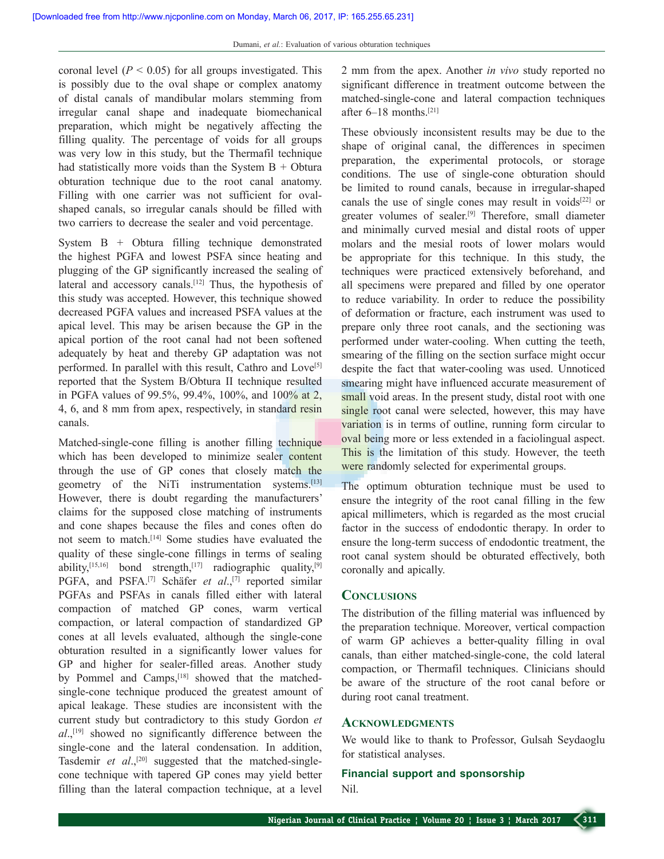coronal level  $(P < 0.05)$  for all groups investigated. This is possibly due to the oval shape or complex anatomy of distal canals of mandibular molars stemming from irregular canal shape and inadequate biomechanical preparation, which might be negatively affecting the filling quality. The percentage of voids for all groups was very low in this study, but the Thermafil technique had statistically more voids than the System  $B + Obtura$ obturation technique due to the root canal anatomy. Filling with one carrier was not sufficient for ovalshaped canals, so irregular canals should be filled with two carriers to decrease the sealer and void percentage.

System B + Obtura filling technique demonstrated the highest PGFA and lowest PSFA since heating and plugging of the GP significantly increased the sealing of lateral and accessory canals.<sup>[12]</sup> Thus, the hypothesis of this study was accepted. However, this technique showed decreased PGFA values and increased PSFA values at the apical level. This may be arisen because the GP in the apical portion of the root canal had not been softened adequately by heat and thereby GP adaptation was not performed. In parallel with this result, Cathro and Love<sup>[5]</sup> reported that the System B/Obtura II technique resulted in PGFA values of 99.5%, 99.4%, 100%, and 100% at 2, 4, 6, and 8 mm from apex, respectively, in standard resin canals.

Matched-single-cone filling is another filling technique which has been developed to minimize sealer content through the use of GP cones that closely match the geometry of the NiTi instrumentation systems.<sup>[13]</sup> However, there is doubt regarding the manufacturers' claims for the supposed close matching of instruments and cone shapes because the files and cones often do not seem to match.[14] Some studies have evaluated the quality of these single-cone fillings in terms of sealing ability,<sup>[15,16]</sup> bond strength,<sup>[17]</sup> radiographic quality,<sup>[9]</sup> PGFA, and PSFA.<sup>[7]</sup> Schäfer *et al.*,<sup>[7]</sup> reported similar PGFAs and PSFAs in canals filled either with lateral compaction of matched GP cones, warm vertical compaction, or lateral compaction of standardized GP cones at all levels evaluated, although the single-cone obturation resulted in a significantly lower values for GP and higher for sealer-filled areas. Another study by Pommel and Camps,<sup>[18]</sup> showed that the matchedsingle-cone technique produced the greatest amount of apical leakage. These studies are inconsistent with the current study but contradictory to this study Gordon *et al*.,[19] showed no significantly difference between the single-cone and the lateral condensation. In addition, Tasdemir *et al.*<sup>[20]</sup> suggested that the matched-singlecone technique with tapered GP cones may yield better filling than the lateral compaction technique, at a level

2 mm from the apex. Another *in vivo* study reported no significant difference in treatment outcome between the matched-single-cone and lateral compaction techniques after 6–18 months.[21]

These obviously inconsistent results may be due to the shape of original canal, the differences in specimen preparation, the experimental protocols, or storage conditions. The use of single-cone obturation should be limited to round canals, because in irregular-shaped canals the use of single cones may result in voids $[22]$  or greater volumes of sealer.[9] Therefore, small diameter and minimally curved mesial and distal roots of upper molars and the mesial roots of lower molars would be appropriate for this technique. In this study, the techniques were practiced extensively beforehand, and all specimens were prepared and filled by one operator to reduce variability. In order to reduce the possibility of deformation or fracture, each instrument was used to prepare only three root canals, and the sectioning was performed under water-cooling. When cutting the teeth, smearing of the filling on the section surface might occur despite the fact that water-cooling was used. Unnoticed smearing might have influenced accurate measurement of small void areas. In the present study, distal root with one single root canal were selected, however, this may have variation is in terms of outline, running form circular to oval being more or less extended in a faciolingual aspect. This is the limitation of this study. However, the teeth were randomly selected for experimental groups.

The optimum obturation technique must be used to ensure the integrity of the root canal filling in the few apical millimeters, which is regarded as the most crucial factor in the success of endodontic therapy. In order to ensure the long-term success of endodontic treatment, the root canal system should be obturated effectively, both coronally and apically.

## **Conclusions**

The distribution of the filling material was influenced by the preparation technique. Moreover, vertical compaction of warm GP achieves a better-quality filling in oval canals, than either matched-single-cone, the cold lateral compaction, or Thermafil techniques. Clinicians should be aware of the structure of the root canal before or during root canal treatment.

#### **Acknowledgments**

We would like to thank to Professor, Gulsah Seydaoglu for statistical analyses.

## **Financial support and sponsorship** Nil.